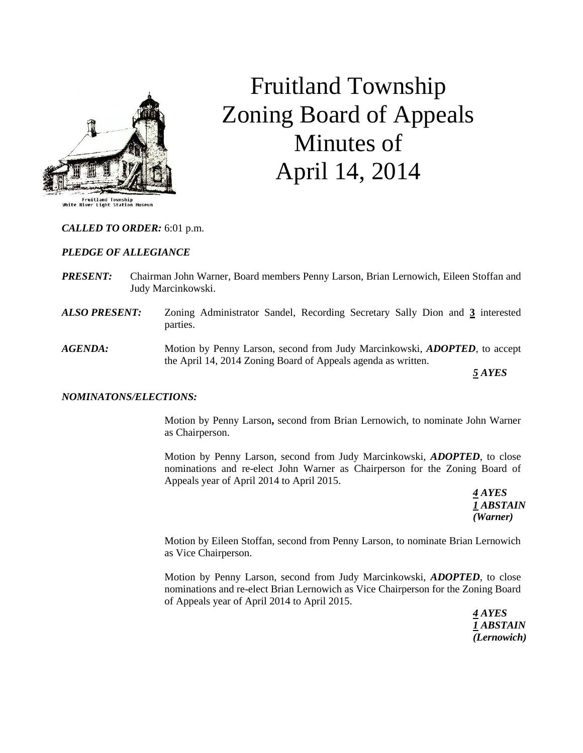

# Fruitland Township Zoning Board of Appeals Minutes of April 14, 2014

### *CALLED TO ORDER:* 6:01 p.m.

### *PLEDGE OF ALLEGIANCE*

- *PRESENT:* Chairman John Warner, Board members Penny Larson, Brian Lernowich, Eileen Stoffan and Judy Marcinkowski.
- *ALSO PRESENT:* Zoning Administrator Sandel, Recording Secretary Sally Dion and **3** interested parties.
- *AGENDA:* Motion by Penny Larson, second from Judy Marcinkowski, *ADOPTED,* to accept the April 14, 2014 Zoning Board of Appeals agenda as written.

*5 AYES*

### *NOMINATONS/ELECTIONS:*

Motion by Penny Larson**,** second from Brian Lernowich, to nominate John Warner as Chairperson.

Motion by Penny Larson, second from Judy Marcinkowski, *ADOPTED*, to close nominations and re-elect John Warner as Chairperson for the Zoning Board of Appeals year of April 2014 to April 2015.

> *4 AYES 1 ABSTAIN (Warner)*

Motion by Eileen Stoffan, second from Penny Larson, to nominate Brian Lernowich as Vice Chairperson.

Motion by Penny Larson, second from Judy Marcinkowski, *ADOPTED*, to close nominations and re-elect Brian Lernowich as Vice Chairperson for the Zoning Board of Appeals year of April 2014 to April 2015.

> *4 AYES 1 ABSTAIN (Lernowich)*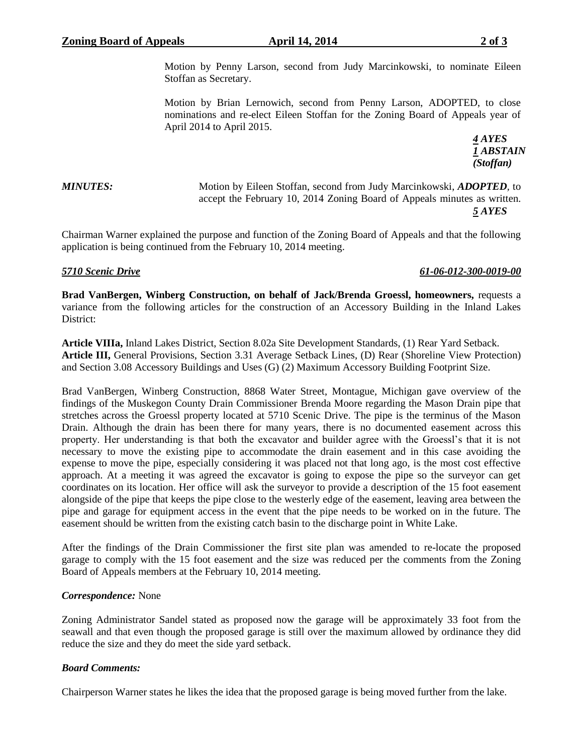Motion by Brian Lernowich, second from Penny Larson, ADOPTED, to close nominations and re-elect Eileen Stoffan for the Zoning Board of Appeals year of April 2014 to April 2015.

> *4 AYES 1 ABSTAIN (Stoffan)*

*MINUTES:* Motion by Eileen Stoffan, second from Judy Marcinkowski, *ADOPTED,* to accept the February 10, 2014 Zoning Board of Appeals minutes as written. *5 AYES*

Chairman Warner explained the purpose and function of the Zoning Board of Appeals and that the following application is being continued from the February 10, 2014 meeting.

# *5710 Scenic Drive 61-06-012-300-0019-00*

**Brad VanBergen, Winberg Construction, on behalf of Jack/Brenda Groessl, homeowners,** requests a variance from the following articles for the construction of an Accessory Building in the Inland Lakes District:

**Article VIIIa,** Inland Lakes District, Section 8.02a Site Development Standards, (1) Rear Yard Setback. **Article III,** General Provisions, Section 3.31 Average Setback Lines, (D) Rear (Shoreline View Protection) and Section 3.08 Accessory Buildings and Uses (G) (2) Maximum Accessory Building Footprint Size.

Brad VanBergen, Winberg Construction, 8868 Water Street, Montague, Michigan gave overview of the findings of the Muskegon County Drain Commissioner Brenda Moore regarding the Mason Drain pipe that stretches across the Groessl property located at 5710 Scenic Drive. The pipe is the terminus of the Mason Drain. Although the drain has been there for many years, there is no documented easement across this property. Her understanding is that both the excavator and builder agree with the Groessl's that it is not necessary to move the existing pipe to accommodate the drain easement and in this case avoiding the expense to move the pipe, especially considering it was placed not that long ago, is the most cost effective approach. At a meeting it was agreed the excavator is going to expose the pipe so the surveyor can get coordinates on its location. Her office will ask the surveyor to provide a description of the 15 foot easement alongside of the pipe that keeps the pipe close to the westerly edge of the easement, leaving area between the pipe and garage for equipment access in the event that the pipe needs to be worked on in the future. The easement should be written from the existing catch basin to the discharge point in White Lake.

After the findings of the Drain Commissioner the first site plan was amended to re-locate the proposed garage to comply with the 15 foot easement and the size was reduced per the comments from the Zoning Board of Appeals members at the February 10, 2014 meeting.

# *Correspondence:* None

Zoning Administrator Sandel stated as proposed now the garage will be approximately 33 foot from the seawall and that even though the proposed garage is still over the maximum allowed by ordinance they did reduce the size and they do meet the side yard setback.

## *Board Comments:*

Chairperson Warner states he likes the idea that the proposed garage is being moved further from the lake.